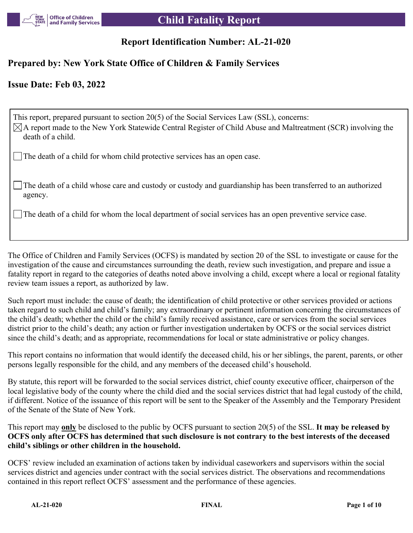

# **Report Identification Number: AL-21-020**

## **Prepared by: New York State Office of Children & Family Services**

## **Issue Date: Feb 03, 2022**

This report, prepared pursuant to section 20(5) of the Social Services Law (SSL), concerns:  $\boxtimes$ A report made to the New York Statewide Central Register of Child Abuse and Maltreatment (SCR) involving the death of a child. The death of a child for whom child protective services has an open case.

The death of a child whose care and custody or custody and guardianship has been transferred to an authorized agency.

The death of a child for whom the local department of social services has an open preventive service case.

The Office of Children and Family Services (OCFS) is mandated by section 20 of the SSL to investigate or cause for the investigation of the cause and circumstances surrounding the death, review such investigation, and prepare and issue a fatality report in regard to the categories of deaths noted above involving a child, except where a local or regional fatality review team issues a report, as authorized by law.

Such report must include: the cause of death; the identification of child protective or other services provided or actions taken regard to such child and child's family; any extraordinary or pertinent information concerning the circumstances of the child's death; whether the child or the child's family received assistance, care or services from the social services district prior to the child's death; any action or further investigation undertaken by OCFS or the social services district since the child's death; and as appropriate, recommendations for local or state administrative or policy changes.

This report contains no information that would identify the deceased child, his or her siblings, the parent, parents, or other persons legally responsible for the child, and any members of the deceased child's household.

By statute, this report will be forwarded to the social services district, chief county executive officer, chairperson of the local legislative body of the county where the child died and the social services district that had legal custody of the child, if different. Notice of the issuance of this report will be sent to the Speaker of the Assembly and the Temporary President of the Senate of the State of New York.

This report may **only** be disclosed to the public by OCFS pursuant to section 20(5) of the SSL. **It may be released by OCFS only after OCFS has determined that such disclosure is not contrary to the best interests of the deceased child's siblings or other children in the household.**

OCFS' review included an examination of actions taken by individual caseworkers and supervisors within the social services district and agencies under contract with the social services district. The observations and recommendations contained in this report reflect OCFS' assessment and the performance of these agencies.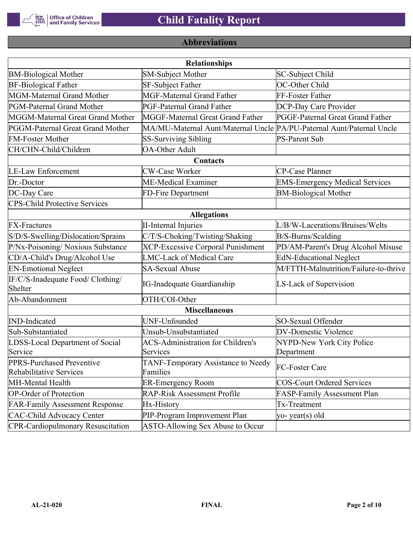

# **Abbreviations**

| <b>Relationships</b>                                        |                                                                       |                                       |  |  |  |
|-------------------------------------------------------------|-----------------------------------------------------------------------|---------------------------------------|--|--|--|
| <b>BM-Biological Mother</b>                                 | <b>SM-Subject Mother</b>                                              | SC-Subject Child                      |  |  |  |
| <b>BF-Biological Father</b>                                 | SF-Subject Father                                                     | OC-Other Child                        |  |  |  |
| MGM-Maternal Grand Mother                                   | <b>MGF-Maternal Grand Father</b>                                      | FF-Foster Father                      |  |  |  |
| PGM-Paternal Grand Mother                                   | PGF-Paternal Grand Father                                             | DCP-Day Care Provider                 |  |  |  |
| MGGM-Maternal Great Grand Mother                            | MGGF-Maternal Great Grand Father                                      | PGGF-Paternal Great Grand Father      |  |  |  |
| PGGM-Paternal Great Grand Mother                            | MA/MU-Maternal Aunt/Maternal Uncle PA/PU-Paternal Aunt/Paternal Uncle |                                       |  |  |  |
| <b>FM-Foster Mother</b>                                     | <b>SS-Surviving Sibling</b>                                           | <b>PS-Parent Sub</b>                  |  |  |  |
| CH/CHN-Child/Children                                       | <b>OA-Other Adult</b>                                                 |                                       |  |  |  |
|                                                             | Contacts                                                              |                                       |  |  |  |
| <b>LE-Law Enforcement</b>                                   | <b>CW-Case Worker</b>                                                 | CP-Case Planner                       |  |  |  |
| Dr.-Doctor                                                  | ME-Medical Examiner                                                   | <b>EMS-Emergency Medical Services</b> |  |  |  |
| DC-Day Care                                                 | FD-Fire Department                                                    | <b>BM-Biological Mother</b>           |  |  |  |
| <b>CPS-Child Protective Services</b>                        |                                                                       |                                       |  |  |  |
|                                                             | <b>Allegations</b>                                                    |                                       |  |  |  |
| <b>FX-Fractures</b>                                         | <b>II-Internal Injuries</b>                                           | L/B/W-Lacerations/Bruises/Welts       |  |  |  |
| S/D/S-Swelling/Dislocation/Sprains                          | C/T/S-Choking/Twisting/Shaking                                        | B/S-Burns/Scalding                    |  |  |  |
| P/Nx-Poisoning/ Noxious Substance                           | <b>XCP-Excessive Corporal Punishment</b>                              | PD/AM-Parent's Drug Alcohol Misuse    |  |  |  |
| CD/A-Child's Drug/Alcohol Use                               | <b>LMC-Lack of Medical Care</b>                                       | <b>EdN-Educational Neglect</b>        |  |  |  |
| <b>EN-Emotional Neglect</b>                                 | <b>SA-Sexual Abuse</b>                                                | M/FTTH-Malnutrition/Failure-to-thrive |  |  |  |
| IF/C/S-Inadequate Food/ Clothing/<br>Shelter                | <b>IG-Inadequate Guardianship</b>                                     | LS-Lack of Supervision                |  |  |  |
| Ab-Abandonment                                              | OTH/COI-Other                                                         |                                       |  |  |  |
|                                                             | <b>Miscellaneous</b>                                                  |                                       |  |  |  |
| <b>IND-Indicated</b>                                        | UNF-Unfounded                                                         | SO-Sexual Offender                    |  |  |  |
| Sub-Substantiated                                           | Unsub-Unsubstantiated                                                 | <b>DV-Domestic Violence</b>           |  |  |  |
| LDSS-Local Department of Social                             | <b>ACS-Administration for Children's</b>                              | NYPD-New York City Police             |  |  |  |
| Service                                                     | Services                                                              | Department                            |  |  |  |
| PPRS-Purchased Preventive<br><b>Rehabilitative Services</b> | TANF-Temporary Assistance to Needy<br>Families                        | FC-Foster Care                        |  |  |  |
| MH-Mental Health                                            | <b>ER-Emergency Room</b>                                              | <b>COS-Court Ordered Services</b>     |  |  |  |
| <b>OP-Order of Protection</b>                               | <b>RAP-Risk Assessment Profile</b>                                    | FASP-Family Assessment Plan           |  |  |  |
| <b>FAR-Family Assessment Response</b>                       | Hx-History                                                            | Tx-Treatment                          |  |  |  |
| <b>CAC-Child Advocacy Center</b>                            | PIP-Program Improvement Plan                                          | yo-year(s) old                        |  |  |  |
| <b>CPR-Cardiopulmonary Resuscitation</b>                    | ASTO-Allowing Sex Abuse to Occur                                      |                                       |  |  |  |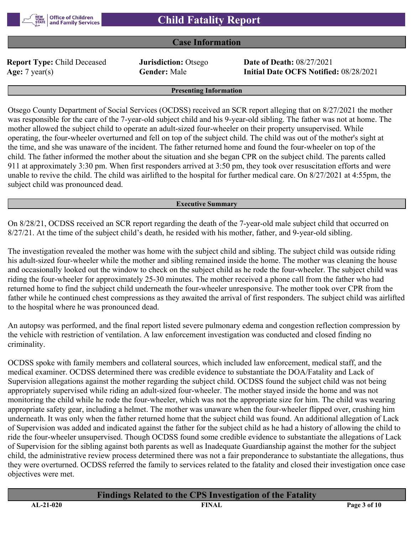

## **Case Information**

**Report Type:** Child Deceased **Jurisdiction:** Otsego **Date of Death:** 08/27/2021

**Age:** 7 year(s) **Gender:** Male **Initial Date OCFS Notified:** 08/28/2021

#### **Presenting Information**

Otsego County Department of Social Services (OCDSS) received an SCR report alleging that on 8/27/2021 the mother was responsible for the care of the 7-year-old subject child and his 9-year-old sibling. The father was not at home. The mother allowed the subject child to operate an adult-sized four-wheeler on their property unsupervised. While operating, the four-wheeler overturned and fell on top of the subject child. The child was out of the mother's sight at the time, and she was unaware of the incident. The father returned home and found the four-wheeler on top of the child. The father informed the mother about the situation and she began CPR on the subject child. The parents called 911 at approximately 3:30 pm. When first responders arrived at 3:50 pm, they took over resuscitation efforts and were unable to revive the child. The child was airlifted to the hospital for further medical care. On 8/27/2021 at 4:55pm, the subject child was pronounced dead.

#### **Executive Summary**

On 8/28/21, OCDSS received an SCR report regarding the death of the 7-year-old male subject child that occurred on 8/27/21. At the time of the subject child's death, he resided with his mother, father, and 9-year-old sibling.

The investigation revealed the mother was home with the subject child and sibling. The subject child was outside riding his adult-sized four-wheeler while the mother and sibling remained inside the home. The mother was cleaning the house and occasionally looked out the window to check on the subject child as he rode the four-wheeler. The subject child was riding the four-wheeler for approximately 25-30 minutes. The mother received a phone call from the father who had returned home to find the subject child underneath the four-wheeler unresponsive. The mother took over CPR from the father while he continued chest compressions as they awaited the arrival of first responders. The subject child was airlifted to the hospital where he was pronounced dead.

An autopsy was performed, and the final report listed severe pulmonary edema and congestion reflection compression by the vehicle with restriction of ventilation. A law enforcement investigation was conducted and closed finding no criminality.

OCDSS spoke with family members and collateral sources, which included law enforcement, medical staff, and the medical examiner. OCDSS determined there was credible evidence to substantiate the DOA/Fatality and Lack of Supervision allegations against the mother regarding the subject child. OCDSS found the subject child was not being appropriately supervised while riding an adult-sized four-wheeler. The mother stayed inside the home and was not monitoring the child while he rode the four-wheeler, which was not the appropriate size for him. The child was wearing appropriate safety gear, including a helmet. The mother was unaware when the four-wheeler flipped over, crushing him underneath. It was only when the father returned home that the subject child was found. An additional allegation of Lack of Supervision was added and indicated against the father for the subject child as he had a history of allowing the child to ride the four-wheeler unsupervised. Though OCDSS found some credible evidence to substantiate the allegations of Lack of Supervision for the sibling against both parents as well as Inadequate Guardianship against the mother for the subject child, the administrative review process determined there was not a fair preponderance to substantiate the allegations, thus they were overturned. OCDSS referred the family to services related to the fatality and closed their investigation once case objectives were met.

# **Findings Related to the CPS Investigation of the Fatality**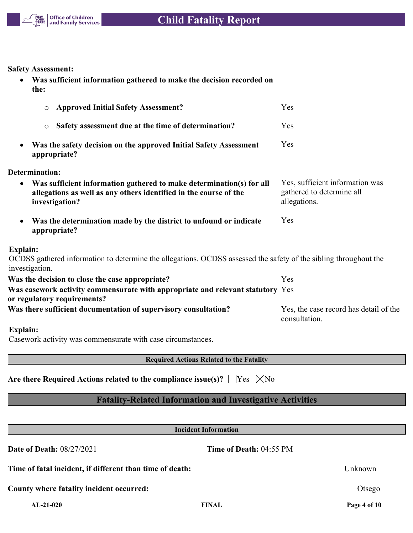

**Safety Assessment:**

 **Was sufficient information gathered to make the decision recorded on the:**

| <b>Approved Initial Safety Assessment?</b><br>$\circ$                                                                                                                    | Yes                                                                          |
|--------------------------------------------------------------------------------------------------------------------------------------------------------------------------|------------------------------------------------------------------------------|
| Safety assessment due at the time of determination?<br>$\circ$                                                                                                           | Yes                                                                          |
| Was the safety decision on the approved Initial Safety Assessment<br>appropriate?                                                                                        | Yes                                                                          |
| <b>Determination:</b>                                                                                                                                                    |                                                                              |
| Was sufficient information gathered to make determination(s) for all<br>$\bullet$<br>allegations as well as any others identified in the course of the<br>investigation? | Yes, sufficient information was<br>gathered to determine all<br>allegations. |
| Was the determination made by the district to unfound or indicate<br>appropriate?                                                                                        | Yes                                                                          |
| <b>Explain:</b>                                                                                                                                                          |                                                                              |
| OCDSS gathered information to determine the allegations. OCDSS assessed the safety of the sibling throughout the<br>investigation.                                       |                                                                              |
| Was the decision to close the case appropriate?                                                                                                                          | Yes                                                                          |
| Was casework activity commensurate with appropriate and relevant statutory Yes<br>or regulatory requirements?                                                            |                                                                              |
| Was there sufficient documentation of supervisory consultation?                                                                                                          | Yes, the case record has detail of the<br>consultation.                      |
| <b>Explain:</b>                                                                                                                                                          |                                                                              |
| Casework activity was commensurate with case circumstances.                                                                                                              |                                                                              |

**Required Actions Related to the Fatality**

Are there Required Actions related to the compliance issue(s)?  $\Box$  Yes  $\Box$  No

# **Fatality-Related Information and Investigative Activities**

| <b>Incident Information</b>                              |                                |              |  |  |  |
|----------------------------------------------------------|--------------------------------|--------------|--|--|--|
| <b>Date of Death: 08/27/2021</b>                         | <b>Time of Death: 04:55 PM</b> |              |  |  |  |
| Time of fatal incident, if different than time of death: |                                | Unknown      |  |  |  |
| County where fatality incident occurred:                 |                                | Otsego       |  |  |  |
| $AL-21-020$                                              | <b>FINAL</b>                   | Page 4 of 10 |  |  |  |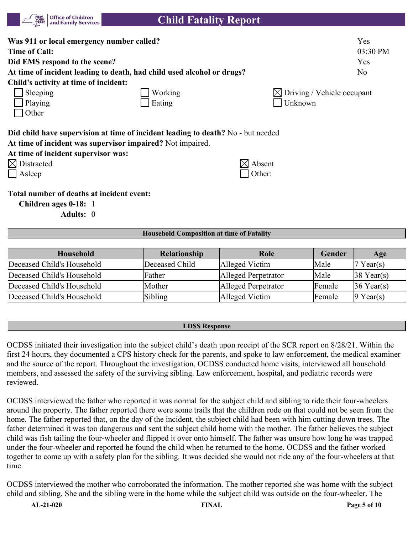| <b>Office of Children</b><br><b>NEW<br/>YORK</b><br>and Family Services<br><b>STATE</b>                                  | <b>Child Fatality Report</b>                                                                           |                                        |
|--------------------------------------------------------------------------------------------------------------------------|--------------------------------------------------------------------------------------------------------|----------------------------------------|
| Was 911 or local emergency number called?                                                                                |                                                                                                        | Yes                                    |
| <b>Time of Call:</b>                                                                                                     |                                                                                                        | 03:30 PM                               |
| Did EMS respond to the scene?                                                                                            |                                                                                                        | Yes                                    |
| At time of incident leading to death, had child used alcohol or drugs?                                                   |                                                                                                        | N <sub>o</sub>                         |
| Child's activity at time of incident:                                                                                    |                                                                                                        |                                        |
| Sleeping                                                                                                                 | Working                                                                                                | $\boxtimes$ Driving / Vehicle occupant |
| Playing                                                                                                                  | Eating                                                                                                 | Unknown                                |
| Other                                                                                                                    |                                                                                                        |                                        |
| At time of incident was supervisor impaired? Not impaired.<br>At time of incident supervisor was:<br>$\times$ Distracted | Did child have supervision at time of incident leading to death? No - but needed<br>$\boxtimes$ Absent |                                        |
| Asleep                                                                                                                   | Other:                                                                                                 |                                        |
| Total number of deaths at incident event:<br><u>Δ1Ω</u>                                                                  |                                                                                                        |                                        |

**Children ages 0-18:** 1

**Adults:** 0

#### **Household Composition at time of Fatality**

| Household                  | <b>Relationship</b> | Role                | Gender | Age                    |
|----------------------------|---------------------|---------------------|--------|------------------------|
| Deceased Child's Household | Deceased Child      | Alleged Victim      | Male   | Year(s)                |
| Deceased Child's Household | Father              | Alleged Perpetrator | Male   | $ 38 \text{ Year}(s) $ |
| Deceased Child's Household | Mother              | Alleged Perpetrator | Female | $36$ Year(s)           |
| Deceased Child's Household | Sibling             | Alleged Victim      | Female | $9$ Year(s)            |

### **LDSS Response**

OCDSS initiated their investigation into the subject child's death upon receipt of the SCR report on 8/28/21. Within the first 24 hours, they documented a CPS history check for the parents, and spoke to law enforcement, the medical examiner and the source of the report. Throughout the investigation, OCDSS conducted home visits, interviewed all household members, and assessed the safety of the surviving sibling. Law enforcement, hospital, and pediatric records were reviewed.

OCDSS interviewed the father who reported it was normal for the subject child and sibling to ride their four-wheelers around the property. The father reported there were some trails that the children rode on that could not be seen from the home. The father reported that, on the day of the incident, the subject child had been with him cutting down trees. The father determined it was too dangerous and sent the subject child home with the mother. The father believes the subject child was fish tailing the four-wheeler and flipped it over onto himself. The father was unsure how long he was trapped under the four-wheeler and reported he found the child when he returned to the home. OCDSS and the father worked together to come up with a safety plan for the sibling. It was decided she would not ride any of the four-wheelers at that time.

OCDSS interviewed the mother who corroborated the information. The mother reported she was home with the subject child and sibling. She and the sibling were in the home while the subject child was outside on the four-wheeler. The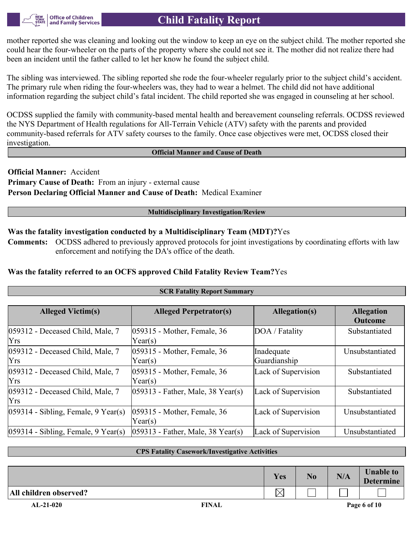mother reported she was cleaning and looking out the window to keep an eye on the subject child. The mother reported she could hear the four-wheeler on the parts of the property where she could not see it. The mother did not realize there had been an incident until the father called to let her know he found the subject child.

The sibling was interviewed. The sibling reported she rode the four-wheeler regularly prior to the subject child's accident. The primary rule when riding the four-wheelers was, they had to wear a helmet. The child did not have additional information regarding the subject child's fatal incident. The child reported she was engaged in counseling at her school.

OCDSS supplied the family with community-based mental health and bereavement counseling referrals. OCDSS reviewed the NYS Department of Health regulations for All-Terrain Vehicle (ATV) safety with the parents and provided community-based referrals for ATV safety courses to the family. Once case objectives were met, OCDSS closed their investigation.

#### **Official Manner and Cause of Death**

**Official Manner:** Accident **Primary Cause of Death:** From an injury - external cause **Person Declaring Official Manner and Cause of Death:** Medical Examiner

**Office of Children** and Family Services

#### **Multidisciplinary Investigation/Review**

## **Was the fatality investigation conducted by a Multidisciplinary Team (MDT)?**Yes

**Comments:** OCDSS adhered to previously approved protocols for joint investigations by coordinating efforts with law enforcement and notifying the DA's office of the death.

## **Was the fatality referred to an OCFS approved Child Fatality Review Team?**Yes

| <b>SCR Fatality Report Summary</b>                |                                        |                            |                                     |  |  |
|---------------------------------------------------|----------------------------------------|----------------------------|-------------------------------------|--|--|
|                                                   |                                        |                            |                                     |  |  |
| <b>Alleged Victim(s)</b>                          | <b>Alleged Perpetrator(s)</b>          | <b>Allegation(s)</b>       | <b>Allegation</b><br><b>Outcome</b> |  |  |
| $ 059312$ - Deceased Child, Male, 7<br><b>Yrs</b> | 059315 - Mother, Female, 36<br>Year(s) | DOA / Fatality             | Substantiated                       |  |  |
| 059312 - Deceased Child, Male, 7<br><b>Yrs</b>    | 059315 - Mother, Female, 36<br>Year(s) | Inadequate<br>Guardianship | Unsubstantiated                     |  |  |
| 059312 - Deceased Child, Male, 7<br><b>Yrs</b>    | 059315 - Mother, Female, 36<br>Year(s) | Lack of Supervision        | Substantiated                       |  |  |
| 059312 - Deceased Child, Male, 7<br> Yrs          | $ 059313$ - Father, Male, 38 Year(s)   | Lack of Supervision        | Substantiated                       |  |  |
| $ 059314 - Sibling$ , Female, 9 Year(s)           | 059315 - Mother, Female, 36<br>Year(s) | Lack of Supervision        | Unsubstantiated                     |  |  |
| $ 059314 - Sibling$ , Female, 9 Year(s)           | $ 059313$ - Father, Male, 38 Year(s)   | Lack of Supervision        | Unsubstantiated                     |  |  |

#### **CPS Fatality Casework/Investigative Activities**

|                        | Yes       | N <sub>0</sub> | N/A | <b>Unable to</b><br><b>Determine</b> |
|------------------------|-----------|----------------|-----|--------------------------------------|
| All children observed? | ╲╱<br>I∧I |                |     |                                      |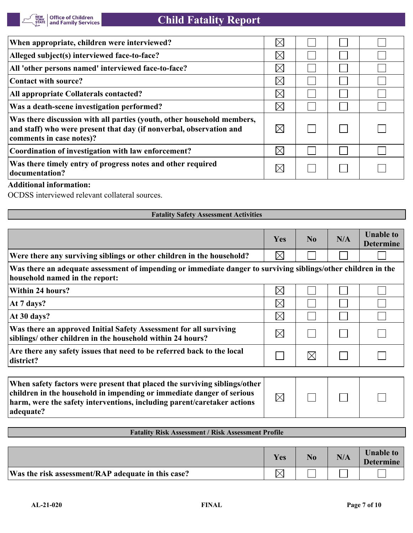| When appropriate, children were interviewed?                                                                                                                              | $\times$    |  |  |
|---------------------------------------------------------------------------------------------------------------------------------------------------------------------------|-------------|--|--|
| Alleged subject(s) interviewed face-to-face?                                                                                                                              | $\boxtimes$ |  |  |
| All 'other persons named' interviewed face-to-face?                                                                                                                       | $\boxtimes$ |  |  |
| Contact with source?                                                                                                                                                      | $\times$    |  |  |
| All appropriate Collaterals contacted?                                                                                                                                    | $\boxtimes$ |  |  |
| Was a death-scene investigation performed?                                                                                                                                | $\boxtimes$ |  |  |
| Was there discussion with all parties (youth, other household members,<br>and staff) who were present that day (if nonverbal, observation and<br>comments in case notes)? | $\boxtimes$ |  |  |
| Coordination of investigation with law enforcement?                                                                                                                       | $\times$    |  |  |
| Was there timely entry of progress notes and other required<br>documentation?                                                                                             |             |  |  |

## **Additional information:**

OCDSS interviewed relevant collateral sources.

| <b>Fatality Safety Assessment Activities</b>                                                                                                                                                                                               |             |                |     |                                      |  |  |
|--------------------------------------------------------------------------------------------------------------------------------------------------------------------------------------------------------------------------------------------|-------------|----------------|-----|--------------------------------------|--|--|
|                                                                                                                                                                                                                                            |             |                |     |                                      |  |  |
|                                                                                                                                                                                                                                            | Yes         | N <sub>0</sub> | N/A | <b>Unable to</b><br><b>Determine</b> |  |  |
| Were there any surviving siblings or other children in the household?                                                                                                                                                                      | $\boxtimes$ |                |     |                                      |  |  |
| Was there an adequate assessment of impending or immediate danger to surviving siblings/other children in the<br>household named in the report:                                                                                            |             |                |     |                                      |  |  |
| Within 24 hours?                                                                                                                                                                                                                           | $\boxtimes$ |                |     |                                      |  |  |
| At 7 days?                                                                                                                                                                                                                                 | $\boxtimes$ |                |     |                                      |  |  |
| At 30 days?                                                                                                                                                                                                                                | $\boxtimes$ |                |     |                                      |  |  |
| Was there an approved Initial Safety Assessment for all surviving<br>siblings/ other children in the household within 24 hours?                                                                                                            | $\boxtimes$ |                |     |                                      |  |  |
| Are there any safety issues that need to be referred back to the local<br>district?                                                                                                                                                        |             | $\times$       |     |                                      |  |  |
|                                                                                                                                                                                                                                            |             |                |     |                                      |  |  |
| When safety factors were present that placed the surviving siblings/other<br>children in the household in impending or immediate danger of serious<br>harm, were the safety interventions, including parent/caretaker actions<br>adequate? | $\boxtimes$ |                |     |                                      |  |  |

|  | <b>Fatality Risk Assessment / Risk Assessment Profile</b> |  |
|--|-----------------------------------------------------------|--|
|  |                                                           |  |

|                                                    | Yes          | No. | N/A | <b>Unable to</b><br><b>Determine</b> |
|----------------------------------------------------|--------------|-----|-----|--------------------------------------|
| Was the risk assessment/RAP adequate in this case? | $\checkmark$ |     |     |                                      |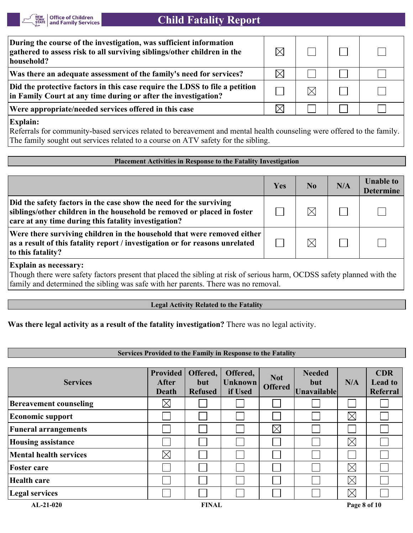

# **Child Fatality Report**

| During the course of the investigation, was sufficient information<br>gathered to assess risk to all surviving siblings/other children in the<br>household? |  |  |
|-------------------------------------------------------------------------------------------------------------------------------------------------------------|--|--|
| Was there an adequate assessment of the family's need for services?                                                                                         |  |  |
| Did the protective factors in this case require the LDSS to file a petition<br>in Family Court at any time during or after the investigation?               |  |  |
| Were appropriate/needed services offered in this case                                                                                                       |  |  |

**Explain:**

Referrals for community-based services related to bereavement and mental health counseling were offered to the family. The family sought out services related to a course on ATV safety for the sibling.

### **Placement Activities in Response to the Fatality Investigation**

|                                                                                                                                                                                                       | Yes | N <sub>0</sub> | N/A | <b>Unable to</b><br><b>Determine</b> |
|-------------------------------------------------------------------------------------------------------------------------------------------------------------------------------------------------------|-----|----------------|-----|--------------------------------------|
| Did the safety factors in the case show the need for the surviving<br>siblings/other children in the household be removed or placed in foster<br>care at any time during this fatality investigation? |     | $\times$       |     |                                      |
| Were there surviving children in the household that were removed either<br>as a result of this fatality report / investigation or for reasons unrelated<br>to this fatality?                          |     | $\times$       |     |                                      |

**Explain as necessary:**

Though there were safety factors present that placed the sibling at risk of serious harm, OCDSS safety planned with the family and determined the sibling was safe with her parents. There was no removal.

### **Legal Activity Related to the Fatality**

**Was there legal activity as a result of the fatality investigation?** There was no legal activity.

### **Services Provided to the Family in Response to the Fatality**

| <b>Services</b>               | <b>Provided</b><br><b>After</b><br>Death | Offered,<br>but<br><b>Refused</b> | Offered,<br><b>Unknown</b><br>if Used | <b>Not</b><br><b>Offered</b> | <b>Needed</b><br>but<br><b>Unavailable</b> | N/A          | <b>CDR</b><br><b>Lead to</b><br>Referral |
|-------------------------------|------------------------------------------|-----------------------------------|---------------------------------------|------------------------------|--------------------------------------------|--------------|------------------------------------------|
| <b>Bereavement counseling</b> | $\boxtimes$                              |                                   |                                       |                              |                                            |              |                                          |
| <b>Economic support</b>       |                                          |                                   |                                       |                              |                                            | $\boxtimes$  |                                          |
| <b>Funeral arrangements</b>   |                                          |                                   |                                       | $\boxtimes$                  |                                            |              |                                          |
| <b>Housing assistance</b>     |                                          |                                   |                                       |                              |                                            | $\boxtimes$  |                                          |
| <b>Mental health services</b> | $\times$                                 |                                   |                                       |                              |                                            |              |                                          |
| <b>Foster care</b>            |                                          |                                   |                                       |                              |                                            | $\boxtimes$  |                                          |
| Health care                   |                                          |                                   |                                       |                              |                                            | $\boxtimes$  |                                          |
| <b>Legal services</b>         |                                          |                                   |                                       |                              |                                            | $\boxtimes$  |                                          |
| $AL-21-020$                   |                                          | <b>FINAL</b>                      |                                       |                              |                                            | Page 8 of 10 |                                          |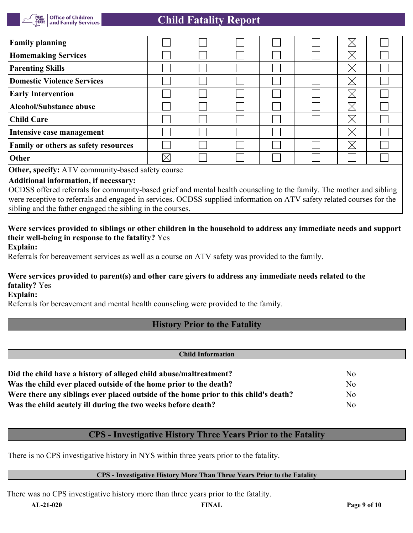

# **Child Fatality Report**

| <b>Family planning</b>                                                                                               |             |  |  |  |  | $\boxtimes$ |  |
|----------------------------------------------------------------------------------------------------------------------|-------------|--|--|--|--|-------------|--|
| <b>Homemaking Services</b>                                                                                           |             |  |  |  |  | $\boxtimes$ |  |
| <b>Parenting Skills</b>                                                                                              |             |  |  |  |  | $\boxtimes$ |  |
| <b>Domestic Violence Services</b>                                                                                    |             |  |  |  |  | $\boxtimes$ |  |
| <b>Early Intervention</b>                                                                                            |             |  |  |  |  | $\boxtimes$ |  |
| Alcohol/Substance abuse                                                                                              |             |  |  |  |  | $\boxtimes$ |  |
| Child Care                                                                                                           |             |  |  |  |  | $\boxtimes$ |  |
| Intensive case management                                                                                            |             |  |  |  |  | $\boxtimes$ |  |
| Family or others as safety resources                                                                                 |             |  |  |  |  | $\boxtimes$ |  |
| Other                                                                                                                | $\boxtimes$ |  |  |  |  |             |  |
| <b>Other, specify:</b> ATV community-based safety course                                                             |             |  |  |  |  |             |  |
| Additional information, if necessary:                                                                                |             |  |  |  |  |             |  |
| OCDSS offered referrals for community-based grief and mental health counseling to the family. The mother and sibling |             |  |  |  |  |             |  |

were receptive to referrals and engaged in services. OCDSS supplied information on ATV safety related courses for the sibling and the father engaged the sibling in the courses.

# **Were services provided to siblings or other children in the household to address any immediate needs and support their well-being in response to the fatality?** Yes

**Explain:**

Referrals for bereavement services as well as a course on ATV safety was provided to the family.

## **Were services provided to parent(s) and other care givers to address any immediate needs related to the fatality?** Yes

**Explain:**

Referrals for bereavement and mental health counseling were provided to the family.

# **History Prior to the Fatality**

| <b>Child Information</b>                                                             |                |  |
|--------------------------------------------------------------------------------------|----------------|--|
|                                                                                      |                |  |
| Did the child have a history of alleged child abuse/maltreatment?                    | N <sub>0</sub> |  |
| Was the child ever placed outside of the home prior to the death?                    | No             |  |
| Were there any siblings ever placed outside of the home prior to this child's death? | N <sub>o</sub> |  |
| Was the child acutely ill during the two weeks before death?                         | No             |  |

## **CPS - Investigative History Three Years Prior to the Fatality**

There is no CPS investigative history in NYS within three years prior to the fatality.

#### **CPS - Investigative History More Than Three Years Prior to the Fatality**

There was no CPS investigative history more than three years prior to the fatality.